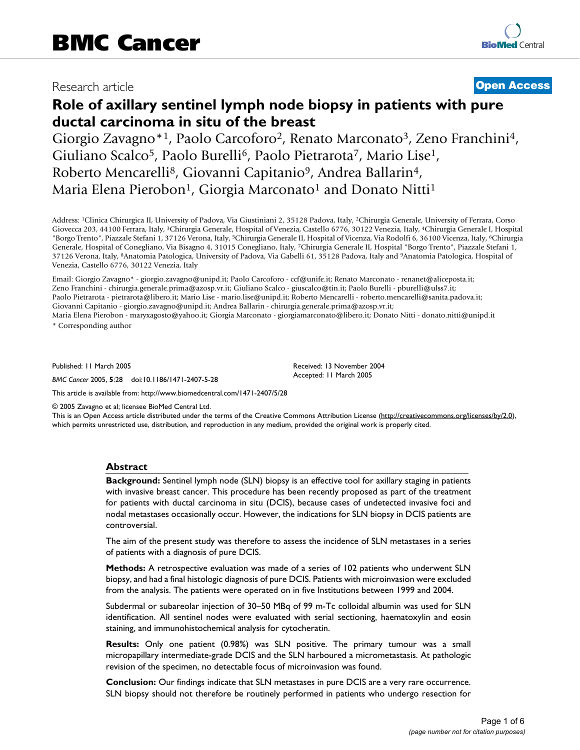## Research article **[Open Access](http://www.biomedcentral.com/info/about/charter/)**

# **Role of axillary sentinel lymph node biopsy in patients with pure ductal carcinoma in situ of the breast**

Giorgio Zavagno<sup>\*1</sup>, Paolo Carcoforo<sup>2</sup>, Renato Marconato<sup>3</sup>, Zeno Franchini<sup>4</sup>, Giuliano Scalco<sup>5</sup>, Paolo Burelli<sup>6</sup>, Paolo Pietrarota<sup>7</sup>, Mario Lise<sup>1</sup>, Roberto Mencarelli<sup>8</sup>, Giovanni Capitanio<sup>9</sup>, Andrea Ballarin<sup>4</sup>, Maria Elena Pierobon<sup>1</sup>, Giorgia Marconato<sup>1</sup> and Donato Nitti<sup>1</sup>

Address: 1Clinica Chirurgica II, University of Padova, Via Giustiniani 2, 35128 Padova, Italy, 2Chirurgia Generale, University of Ferrara, Corso Giovecca 203, 44100 Ferrara, Italy, 3Chirurgia Generale, Hospital of Venezia, Castello 6776, 30122 Venezia, Italy, 4Chirurgia Generale I, Hospital "Borgo Trento", Piazzale Stefani 1, 37126 Verona, Italy, 5Chirurgia Generale II, Hospital of Vicenza, Via Rodolfi 6, 36100 Vicenza, Italy, 6Chirurgia Generale, Hospital of Conegliano, Via Bisagno 4, 31015 Conegliano, Italy, 7Chirurgia Generale II, Hospital "Borgo Trento", Piazzale Stefani 1, 37126 Verona, Italy, 8Anatomia Patologica, University of Padova, Via Gabelli 61, 35128 Padova, Italy and 9Anatomia Patologica, Hospital of Venezia, Castello 6776, 30122 Venezia, Italy

Email: Giorgio Zavagno\* - giorgio.zavagno@unipd.it; Paolo Carcoforo - ccf@unife.it; Renato Marconato - renanet@aliceposta.it; Zeno Franchini - chirurgia.generale.prima@azosp.vr.it; Giuliano Scalco - giuscalco@tin.it; Paolo Burelli - pburelli@ulss7.it; Paolo Pietrarota - pietrarota@libero.it; Mario Lise - mario.lise@unipd.it; Roberto Mencarelli - roberto.mencarelli@sanita.padova.it; Giovanni Capitanio - giorgio.zavagno@unipd.it; Andrea Ballarin - chirurgia.generale.prima@azosp.vr.it;

Maria Elena Pierobon - maryxagosto@yahoo.it; Giorgia Marconato - giorgiamarconato@libero.it; Donato Nitti - donato.nitti@unipd.it \* Corresponding author

Published: 11 March 2005

*BMC Cancer* 2005, **5**:28 doi:10.1186/1471-2407-5-28

[This article is available from: http://www.biomedcentral.com/1471-2407/5/28](http://www.biomedcentral.com/1471-2407/5/28)

© 2005 Zavagno et al; licensee BioMed Central Ltd.

This is an Open Access article distributed under the terms of the Creative Commons Attribution License [\(http://creativecommons.org/licenses/by/2.0\)](http://creativecommons.org/licenses/by/2.0), which permits unrestricted use, distribution, and reproduction in any medium, provided the original work is properly cited.

Received: 13 November 2004 Accepted: 11 March 2005

#### **Abstract**

**Background:** Sentinel lymph node (SLN) biopsy is an effective tool for axillary staging in patients with invasive breast cancer. This procedure has been recently proposed as part of the treatment for patients with ductal carcinoma in situ (DCIS), because cases of undetected invasive foci and nodal metastases occasionally occur. However, the indications for SLN biopsy in DCIS patients are controversial.

The aim of the present study was therefore to assess the incidence of SLN metastases in a series of patients with a diagnosis of pure DCIS.

**Methods:** A retrospective evaluation was made of a series of 102 patients who underwent SLN biopsy, and had a final histologic diagnosis of pure DCIS. Patients with microinvasion were excluded from the analysis. The patients were operated on in five Institutions between 1999 and 2004.

Subdermal or subareolar injection of 30–50 MBq of 99 m-Tc colloidal albumin was used for SLN identification. All sentinel nodes were evaluated with serial sectioning, haematoxylin and eosin staining, and immunohistochemical analysis for cytocheratin.

**Results:** Only one patient (0.98%) was SLN positive. The primary tumour was a small micropapillary intermediate-grade DCIS and the SLN harboured a micrometastasis. At pathologic revision of the specimen, no detectable focus of microinvasion was found.

**Conclusion:** Our findings indicate that SLN metastases in pure DCIS are a very rare occurrence. SLN biopsy should not therefore be routinely performed in patients who undergo resection for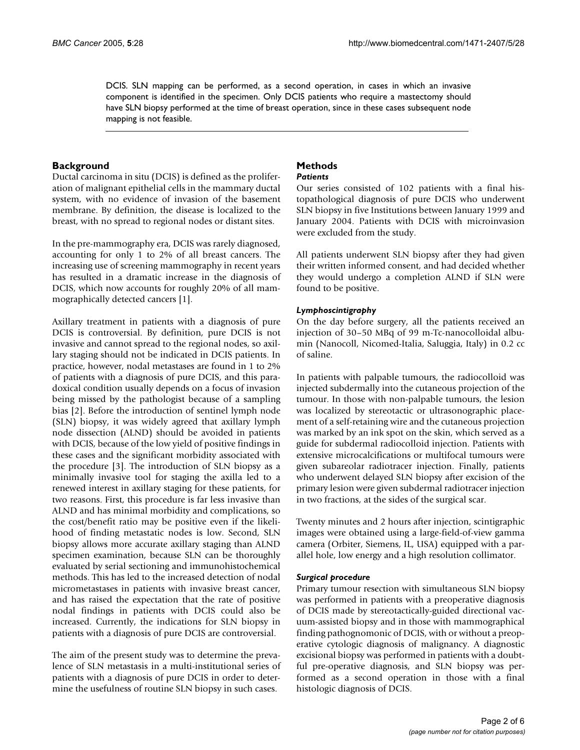DCIS. SLN mapping can be performed, as a second operation, in cases in which an invasive component is identified in the specimen. Only DCIS patients who require a mastectomy should have SLN biopsy performed at the time of breast operation, since in these cases subsequent node mapping is not feasible.

#### **Background**

Ductal carcinoma in situ (DCIS) is defined as the proliferation of malignant epithelial cells in the mammary ductal system, with no evidence of invasion of the basement membrane. By definition, the disease is localized to the breast, with no spread to regional nodes or distant sites.

In the pre-mammography era, DCIS was rarely diagnosed, accounting for only 1 to 2% of all breast cancers. The increasing use of screening mammography in recent years has resulted in a dramatic increase in the diagnosis of DCIS, which now accounts for roughly 20% of all mammographically detected cancers [1].

Axillary treatment in patients with a diagnosis of pure DCIS is controversial. By definition, pure DCIS is not invasive and cannot spread to the regional nodes, so axillary staging should not be indicated in DCIS patients. In practice, however, nodal metastases are found in 1 to 2% of patients with a diagnosis of pure DCIS, and this paradoxical condition usually depends on a focus of invasion being missed by the pathologist because of a sampling bias [2]. Before the introduction of sentinel lymph node (SLN) biopsy, it was widely agreed that axillary lymph node dissection (ALND) should be avoided in patients with DCIS, because of the low yield of positive findings in these cases and the significant morbidity associated with the procedure [3]. The introduction of SLN biopsy as a minimally invasive tool for staging the axilla led to a renewed interest in axillary staging for these patients, for two reasons. First, this procedure is far less invasive than ALND and has minimal morbidity and complications, so the cost/benefit ratio may be positive even if the likelihood of finding metastatic nodes is low. Second, SLN biopsy allows more accurate axillary staging than ALND specimen examination, because SLN can be thoroughly evaluated by serial sectioning and immunohistochemical methods. This has led to the increased detection of nodal micrometastases in patients with invasive breast cancer, and has raised the expectation that the rate of positive nodal findings in patients with DCIS could also be increased. Currently, the indications for SLN biopsy in patients with a diagnosis of pure DCIS are controversial.

The aim of the present study was to determine the prevalence of SLN metastasis in a multi-institutional series of patients with a diagnosis of pure DCIS in order to determine the usefulness of routine SLN biopsy in such cases.

# **Methods**

#### *Patients*

Our series consisted of 102 patients with a final histopathological diagnosis of pure DCIS who underwent SLN biopsy in five Institutions between January 1999 and January 2004. Patients with DCIS with microinvasion were excluded from the study.

All patients underwent SLN biopsy after they had given their written informed consent, and had decided whether they would undergo a completion ALND if SLN were found to be positive.

#### *Lymphoscintigraphy*

On the day before surgery, all the patients received an injection of 30–50 MBq of 99 m-Tc-nanocolloidal albumin (Nanocoll, Nicomed-Italia, Saluggia, Italy) in 0.2 cc of saline.

In patients with palpable tumours, the radiocolloid was injected subdermally into the cutaneous projection of the tumour. In those with non-palpable tumours, the lesion was localized by stereotactic or ultrasonographic placement of a self-retaining wire and the cutaneous projection was marked by an ink spot on the skin, which served as a guide for subdermal radiocolloid injection. Patients with extensive microcalcifications or multifocal tumours were given subareolar radiotracer injection. Finally, patients who underwent delayed SLN biopsy after excision of the primary lesion were given subdermal radiotracer injection in two fractions, at the sides of the surgical scar.

Twenty minutes and 2 hours after injection, scintigraphic images were obtained using a large-field-of-view gamma camera (Orbiter, Siemens, IL, USA) equipped with a parallel hole, low energy and a high resolution collimator.

#### *Surgical procedure*

Primary tumour resection with simultaneous SLN biopsy was performed in patients with a preoperative diagnosis of DCIS made by stereotactically-guided directional vacuum-assisted biopsy and in those with mammographical finding pathognomonic of DCIS, with or without a preoperative cytologic diagnosis of malignancy. A diagnostic excisional biopsy was performed in patients with a doubtful pre-operative diagnosis, and SLN biopsy was performed as a second operation in those with a final histologic diagnosis of DCIS.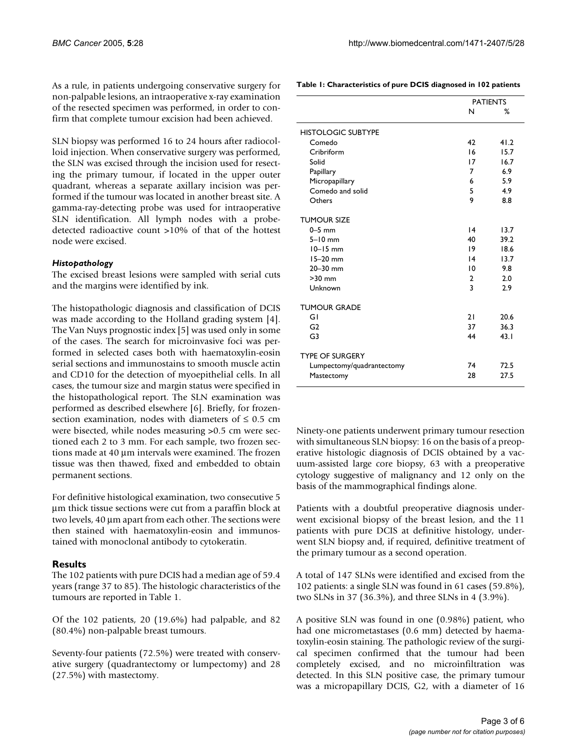As a rule, in patients undergoing conservative surgery for non-palpable lesions, an intraoperative x-ray examination of the resected specimen was performed, in order to confirm that complete tumour excision had been achieved.

SLN biopsy was performed 16 to 24 hours after radiocolloid injection. When conservative surgery was performed, the SLN was excised through the incision used for resecting the primary tumour, if located in the upper outer quadrant, whereas a separate axillary incision was performed if the tumour was located in another breast site. A gamma-ray-detecting probe was used for intraoperative SLN identification. All lymph nodes with a probedetected radioactive count >10% of that of the hottest node were excised.

#### *Histopathology*

The excised breast lesions were sampled with serial cuts and the margins were identified by ink.

The histopathologic diagnosis and classification of DCIS was made according to the Holland grading system [4]. The Van Nuys prognostic index [5] was used only in some of the cases. The search for microinvasive foci was performed in selected cases both with haematoxylin-eosin serial sections and immunostains to smooth muscle actin and CD10 for the detection of myoepithelial cells. In all cases, the tumour size and margin status were specified in the histopathological report. The SLN examination was performed as described elsewhere [6]. Briefly, for frozensection examination, nodes with diameters of  $\leq 0.5$  cm were bisected, while nodes measuring >0.5 cm were sectioned each 2 to 3 mm. For each sample, two frozen sections made at 40 µm intervals were examined. The frozen tissue was then thawed, fixed and embedded to obtain permanent sections.

For definitive histological examination, two consecutive 5 µm thick tissue sections were cut from a paraffin block at two levels, 40 µm apart from each other. The sections were then stained with haematoxylin-eosin and immunostained with monoclonal antibody to cytokeratin.

#### **Results**

The 102 patients with pure DCIS had a median age of 59.4 years (range 37 to 85). The histologic characteristics of the tumours are reported in Table 1.

Of the 102 patients, 20 (19.6%) had palpable, and 82 (80.4%) non-palpable breast tumours.

Seventy-four patients (72.5%) were treated with conservative surgery (quadrantectomy or lumpectomy) and 28 (27.5%) with mastectomy.

|                                         |                | <b>PATIENTS</b> |  |
|-----------------------------------------|----------------|-----------------|--|
|                                         | N              | %               |  |
| <b>HISTOLOGIC SUBTYPE</b>               |                |                 |  |
| Comedo                                  | 42             | 41.2            |  |
| Cribriform                              | 16             | 15.7            |  |
| Solid                                   | 17             | 16.7            |  |
| Papillary                               | 7              | 6.9             |  |
| Micropapillary                          | 6              | 5.9             |  |
| Comedo and solid                        | 5              | 4.9             |  |
| Others                                  | 9              | 8.8             |  |
| <b>TUMOUR SIZE</b>                      |                |                 |  |
| $0-5$ mm                                | 4              | 13.7            |  |
| $5-10$ mm                               | 40             | 39.2            |  |
| $10 - 15$ mm                            | 19             | 18.6            |  |
| $15-20$ mm                              | 4              | 13.7            |  |
| $20 - 30$ mm                            | 10             | 9.8             |  |
| $>30$ mm                                | $\overline{2}$ | 2.0             |  |
| Unknown                                 | 3              | 2.9             |  |
| <b>TUMOUR GRADE</b>                     |                |                 |  |
| GI                                      | 21             | 20.6            |  |
| G <sub>2</sub>                          | 37             | 36.3            |  |
| G <sub>3</sub>                          | 44             | 43.1            |  |
| <b>TYPE OF SURGERY</b>                  |                |                 |  |
|                                         | 74             | 72.5            |  |
|                                         | 28             | 27.5            |  |
| Lumpectomy/quadrantectomy<br>Mastectomy |                |                 |  |

Ninety-one patients underwent primary tumour resection with simultaneous SLN biopsy: 16 on the basis of a preoperative histologic diagnosis of DCIS obtained by a vacuum-assisted large core biopsy, 63 with a preoperative cytology suggestive of malignancy and 12 only on the basis of the mammographical findings alone.

Patients with a doubtful preoperative diagnosis underwent excisional biopsy of the breast lesion, and the 11 patients with pure DCIS at definitive histology, underwent SLN biopsy and, if required, definitive treatment of the primary tumour as a second operation.

A total of 147 SLNs were identified and excised from the 102 patients: a single SLN was found in 61 cases (59.8%), two SLNs in 37 (36.3%), and three SLNs in 4 (3.9%).

A positive SLN was found in one (0.98%) patient, who had one micrometastases (0.6 mm) detected by haematoxylin-eosin staining. The pathologic review of the surgical specimen confirmed that the tumour had been completely excised, and no microinfiltration was detected. In this SLN positive case, the primary tumour was a micropapillary DCIS, G2, with a diameter of 16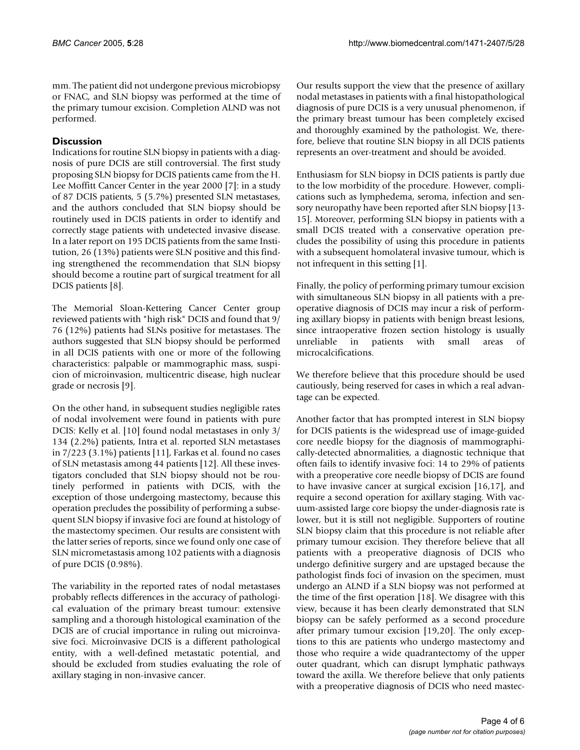mm. The patient did not undergone previous microbiopsy or FNAC, and SLN biopsy was performed at the time of the primary tumour excision. Completion ALND was not performed.

### **Discussion**

Indications for routine SLN biopsy in patients with a diagnosis of pure DCIS are still controversial. The first study proposing SLN biopsy for DCIS patients came from the H. Lee Moffitt Cancer Center in the year 2000 [7]: in a study of 87 DCIS patients, 5 (5.7%) presented SLN metastases, and the authors concluded that SLN biopsy should be routinely used in DCIS patients in order to identify and correctly stage patients with undetected invasive disease. In a later report on 195 DCIS patients from the same Institution, 26 (13%) patients were SLN positive and this finding strengthened the recommendation that SLN biopsy should become a routine part of surgical treatment for all DCIS patients [8].

The Memorial Sloan-Kettering Cancer Center group reviewed patients with "high risk" DCIS and found that 9/ 76 (12%) patients had SLNs positive for metastases. The authors suggested that SLN biopsy should be performed in all DCIS patients with one or more of the following characteristics: palpable or mammographic mass, suspicion of microinvasion, multicentric disease, high nuclear grade or necrosis [9].

On the other hand, in subsequent studies negligible rates of nodal involvement were found in patients with pure DCIS: Kelly et al. [10] found nodal metastases in only 3/ 134 (2.2%) patients, Intra et al. reported SLN metastases in 7/223 (3.1%) patients [11], Farkas et al. found no cases of SLN metastasis among 44 patients [12]. All these investigators concluded that SLN biopsy should not be routinely performed in patients with DCIS, with the exception of those undergoing mastectomy, because this operation precludes the possibility of performing a subsequent SLN biopsy if invasive foci are found at histology of the mastectomy specimen. Our results are consistent with the latter series of reports, since we found only one case of SLN micrometastasis among 102 patients with a diagnosis of pure DCIS (0.98%).

The variability in the reported rates of nodal metastases probably reflects differences in the accuracy of pathological evaluation of the primary breast tumour: extensive sampling and a thorough histological examination of the DCIS are of crucial importance in ruling out microinvasive foci. Microinvasive DCIS is a different pathological entity, with a well-defined metastatic potential, and should be excluded from studies evaluating the role of axillary staging in non-invasive cancer.

Our results support the view that the presence of axillary nodal metastases in patients with a final histopathological diagnosis of pure DCIS is a very unusual phenomenon, if the primary breast tumour has been completely excised and thoroughly examined by the pathologist. We, therefore, believe that routine SLN biopsy in all DCIS patients represents an over-treatment and should be avoided.

Enthusiasm for SLN biopsy in DCIS patients is partly due to the low morbidity of the procedure. However, complications such as lymphedema, seroma, infection and sensory neuropathy have been reported after SLN biopsy [13- 15]. Moreover, performing SLN biopsy in patients with a small DCIS treated with a conservative operation precludes the possibility of using this procedure in patients with a subsequent homolateral invasive tumour, which is not infrequent in this setting [1].

Finally, the policy of performing primary tumour excision with simultaneous SLN biopsy in all patients with a preoperative diagnosis of DCIS may incur a risk of performing axillary biopsy in patients with benign breast lesions, since intraoperative frozen section histology is usually unreliable in patients with small areas of microcalcifications.

We therefore believe that this procedure should be used cautiously, being reserved for cases in which a real advantage can be expected.

Another factor that has prompted interest in SLN biopsy for DCIS patients is the widespread use of image-guided core needle biopsy for the diagnosis of mammographically-detected abnormalities, a diagnostic technique that often fails to identify invasive foci: 14 to 29% of patients with a preoperative core needle biopsy of DCIS are found to have invasive cancer at surgical excision [16,17], and require a second operation for axillary staging. With vacuum-assisted large core biopsy the under-diagnosis rate is lower, but it is still not negligible. Supporters of routine SLN biopsy claim that this procedure is not reliable after primary tumour excision. They therefore believe that all patients with a preoperative diagnosis of DCIS who undergo definitive surgery and are upstaged because the pathologist finds foci of invasion on the specimen, must undergo an ALND if a SLN biopsy was not performed at the time of the first operation [18]. We disagree with this view, because it has been clearly demonstrated that SLN biopsy can be safely performed as a second procedure after primary tumour excision [19,20]. The only exceptions to this are patients who undergo mastectomy and those who require a wide quadrantectomy of the upper outer quadrant, which can disrupt lymphatic pathways toward the axilla. We therefore believe that only patients with a preoperative diagnosis of DCIS who need mastec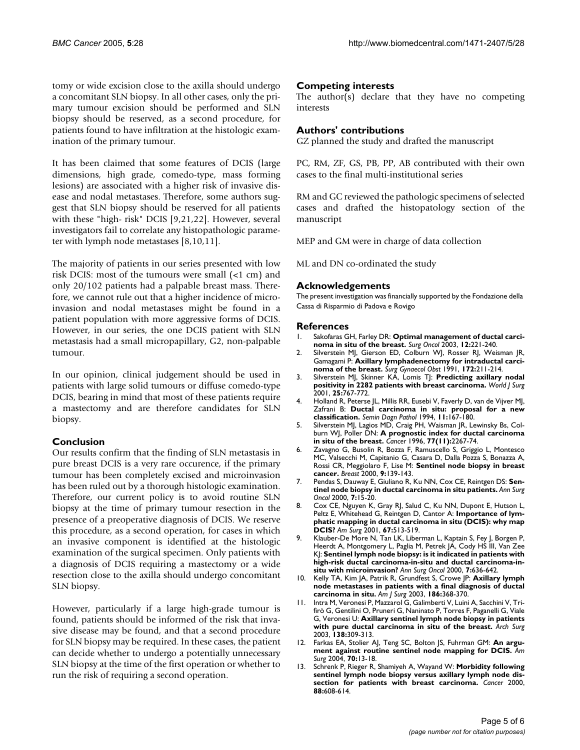tomy or wide excision close to the axilla should undergo a concomitant SLN biopsy. In all other cases, only the primary tumour excision should be performed and SLN biopsy should be reserved, as a second procedure, for patients found to have infiltration at the histologic examination of the primary tumour.

It has been claimed that some features of DCIS (large dimensions, high grade, comedo-type, mass forming lesions) are associated with a higher risk of invasive disease and nodal metastases. Therefore, some authors suggest that SLN biopsy should be reserved for all patients with these "high- risk" DCIS [9,21,22]. However, several investigators fail to correlate any histopathologic parameter with lymph node metastases [8,10,11].

The majority of patients in our series presented with low risk DCIS: most of the tumours were small (<1 cm) and only 20/102 patients had a palpable breast mass. Therefore, we cannot rule out that a higher incidence of microinvasion and nodal metastases might be found in a patient population with more aggressive forms of DCIS. However, in our series, the one DCIS patient with SLN metastasis had a small micropapillary, G2, non-palpable tumour.

In our opinion, clinical judgement should be used in patients with large solid tumours or diffuse comedo-type DCIS, bearing in mind that most of these patients require a mastectomy and are therefore candidates for SLN biopsy.

#### **Conclusion**

Our results confirm that the finding of SLN metastasis in pure breast DCIS is a very rare occurence, if the primary tumour has been completely excised and microinvasion has been ruled out by a thorough histologic examination. Therefore, our current policy is to avoid routine SLN biopsy at the time of primary tumour resection in the presence of a preoperative diagnosis of DCIS. We reserve this procedure, as a second operation, for cases in which an invasive component is identified at the histologic examination of the surgical specimen. Only patients with a diagnosis of DCIS requiring a mastectomy or a wide resection close to the axilla should undergo concomitant SLN biopsy.

However, particularly if a large high-grade tumour is found, patients should be informed of the risk that invasive disease may be found, and that a second procedure for SLN biopsy may be required. In these cases, the patient can decide whether to undergo a potentially unnecessary SLN biopsy at the time of the first operation or whether to run the risk of requiring a second operation.

#### **Competing interests**

The author(s) declare that they have no competing interests

#### **Authors' contributions**

GZ planned the study and drafted the manuscript

PC, RM, ZF, GS, PB, PP, AB contributed with their own cases to the final multi-institutional series

RM and GC reviewed the pathologic specimens of selected cases and drafted the histopatology section of the manuscript

MEP and GM were in charge of data collection

ML and DN co-ordinated the study

#### **Acknowledgements**

The present investigation was financially supported by the Fondazione della Cassa di Risparmio di Padova e Rovigo

#### **References**

- 1. Sakofaras GH, Farley DR: **[Optimal management of ductal carci](http://www.ncbi.nlm.nih.gov/entrez/query.fcgi?cmd=Retrieve&db=PubMed&dopt=Abstract&list_uids=14998563)[noma in situ of the breast.](http://www.ncbi.nlm.nih.gov/entrez/query.fcgi?cmd=Retrieve&db=PubMed&dopt=Abstract&list_uids=14998563)** *Surg Oncol* 2003, **12:**221-240.
- 2. Silverstein MJ, Gierson ED, Colburn WJ, Rosser RJ, Weisman JR, Gamagami P: **Axillary lymphadenectomy for intraductal carcinoma of the breast.** *Surg Gynaecol Obst* 1991, **172:**211-214.
- 3. Silverstein MJ, Skinner KA, Lomis TJ: **[Predicting axillary nodal](http://www.ncbi.nlm.nih.gov/entrez/query.fcgi?cmd=Retrieve&db=PubMed&dopt=Abstract&list_uids=11376414) [positivity in 2282 patients with breast carcinoma.](http://www.ncbi.nlm.nih.gov/entrez/query.fcgi?cmd=Retrieve&db=PubMed&dopt=Abstract&list_uids=11376414)** *World J Surg* 2001, **25:**767-772.
- 4. Holland R, Peterse JL, Millis RR, Eusebi V, Faverly D, van de Vijver MJ, Zafrani B: **Ductal carcinoma in situ: proposal for a new classification.** *Semin Dagn Pathol* 1994, **11:**167-180.
- Silverstein MJ, Lagios MD, Craig PH, Waisman JR, Lewinsky Bs, Colburn WJ, Poller DN: **[A prognostic index for ductal carcinoma](http://www.ncbi.nlm.nih.gov/entrez/query.fcgi?cmd=Retrieve&db=PubMed&dopt=Abstract&list_uids=8635094) [in situ of the breast.](http://www.ncbi.nlm.nih.gov/entrez/query.fcgi?cmd=Retrieve&db=PubMed&dopt=Abstract&list_uids=8635094)** *Cancer* 1996, **77(11):**2267-74.
- 6. Zavagno G, Busolin R, Bozza F, Ramuscello S, Griggio L, Montesco MC, Valsecchi M, Capitanio G, Casara D, Dalla Pozza S, Bonazza A, Rossi CR, Meggiolaro F, Lise M: **[Sentinel node biopsy in breast](http://www.ncbi.nlm.nih.gov/entrez/query.fcgi?cmd=Retrieve&db=PubMed&dopt=Abstract&list_uids=14731837) [cancer.](http://www.ncbi.nlm.nih.gov/entrez/query.fcgi?cmd=Retrieve&db=PubMed&dopt=Abstract&list_uids=14731837)** *Breast* 2000, **9:**139-143.
- 7. Pendas S, Dauway E, Giuliano R, Ku NN, Cox CE, Reintgen DS: **[Sen](http://www.ncbi.nlm.nih.gov/entrez/query.fcgi?cmd=Retrieve&db=PubMed&dopt=Abstract&list_uids=10674443)[tinel node biopsy in ductal carcinoma in situ patients.](http://www.ncbi.nlm.nih.gov/entrez/query.fcgi?cmd=Retrieve&db=PubMed&dopt=Abstract&list_uids=10674443)** *Ann Surg Oncol* 2000, **7:**15-20.
- 8. Cox CE, Nguyen K, Gray RJ, Salud C, Ku NN, Dupont E, Hutson L, Peltz E, Whitehead G, Reintgen D, Cantor A: **[Importance of lym](http://www.ncbi.nlm.nih.gov/entrez/query.fcgi?cmd=Retrieve&db=PubMed&dopt=Abstract&list_uids=11409797)[phatic mapping in ductal carcinoma in situ \(DCIS\): why map](http://www.ncbi.nlm.nih.gov/entrez/query.fcgi?cmd=Retrieve&db=PubMed&dopt=Abstract&list_uids=11409797) [DCIS?](http://www.ncbi.nlm.nih.gov/entrez/query.fcgi?cmd=Retrieve&db=PubMed&dopt=Abstract&list_uids=11409797)** *Am Surg* 2001, **67:**513-519.
- 9. Klauber-De More N, Tan LK, Liberman L, Kaptain S, Fey J, Borgen P, Heerdt A, Montgomery L, Paglia M, Petrek JA, Cody HS III, Van Zee KJ: **[Sentinel lymph node biopsy: is it indicated in patients with](http://www.ncbi.nlm.nih.gov/entrez/query.fcgi?cmd=Retrieve&db=PubMed&dopt=Abstract&list_uids=11034239) [high-risk ductal carcinoma-in-situ and ductal carcinoma-in](http://www.ncbi.nlm.nih.gov/entrez/query.fcgi?cmd=Retrieve&db=PubMed&dopt=Abstract&list_uids=11034239)[situ with microinvasion?](http://www.ncbi.nlm.nih.gov/entrez/query.fcgi?cmd=Retrieve&db=PubMed&dopt=Abstract&list_uids=11034239)** *Ann Surg Oncol* 2000, **7:**636-642.
- 10. Kelly TA, Kim JA, Patrik R, Grundfest S, Crowe JP: **[Axillary lymph](http://www.ncbi.nlm.nih.gov/entrez/query.fcgi?cmd=Retrieve&db=PubMed&dopt=Abstract&list_uids=14553852) [node metastases in patients with a final diagnosis of ductal](http://www.ncbi.nlm.nih.gov/entrez/query.fcgi?cmd=Retrieve&db=PubMed&dopt=Abstract&list_uids=14553852) [carcinoma in situ.](http://www.ncbi.nlm.nih.gov/entrez/query.fcgi?cmd=Retrieve&db=PubMed&dopt=Abstract&list_uids=14553852)** *Am J Surg* 2003, **186:**368-370.
- 11. Intra M, Veronesi P, Mazzarol G, Galimberti V, Luini A, Sacchini V, Trifirò G, Gentilini O, Pruneri G, Naninato P, Torres F, Paganelli G, Viale G, Veronesi U: **[Axillary sentinel lymph node biopsy in patients](http://www.ncbi.nlm.nih.gov/entrez/query.fcgi?cmd=Retrieve&db=PubMed&dopt=Abstract&list_uids=12611580) [with pure ductal carcinoma in situ of the breast.](http://www.ncbi.nlm.nih.gov/entrez/query.fcgi?cmd=Retrieve&db=PubMed&dopt=Abstract&list_uids=12611580)** *Arch Surg* 2003, **138:**309-313.
- 12. Farkas EA, Stolier AJ, Teng SC, Bolton JS, Fuhrman GM: **[An argu](http://www.ncbi.nlm.nih.gov/entrez/query.fcgi?cmd=Retrieve&db=PubMed&dopt=Abstract&list_uids=14964539)[ment against routine sentinel node mapping for DCIS.](http://www.ncbi.nlm.nih.gov/entrez/query.fcgi?cmd=Retrieve&db=PubMed&dopt=Abstract&list_uids=14964539)** *Am Surg* 2004, **70:**13-18.
- 13. Schrenk P, Rieger R, Shamiyeh A, Wayand W: **[Morbidity following](http://www.ncbi.nlm.nih.gov/entrez/query.fcgi?cmd=Retrieve&db=PubMed&dopt=Abstract&list_uids=10649254) [sentinel lymph node biopsy versus axillary lymph node dis](http://www.ncbi.nlm.nih.gov/entrez/query.fcgi?cmd=Retrieve&db=PubMed&dopt=Abstract&list_uids=10649254)[section for patients with breast carcinoma.](http://www.ncbi.nlm.nih.gov/entrez/query.fcgi?cmd=Retrieve&db=PubMed&dopt=Abstract&list_uids=10649254)** *Cancer* 2000, **88:**608-614.